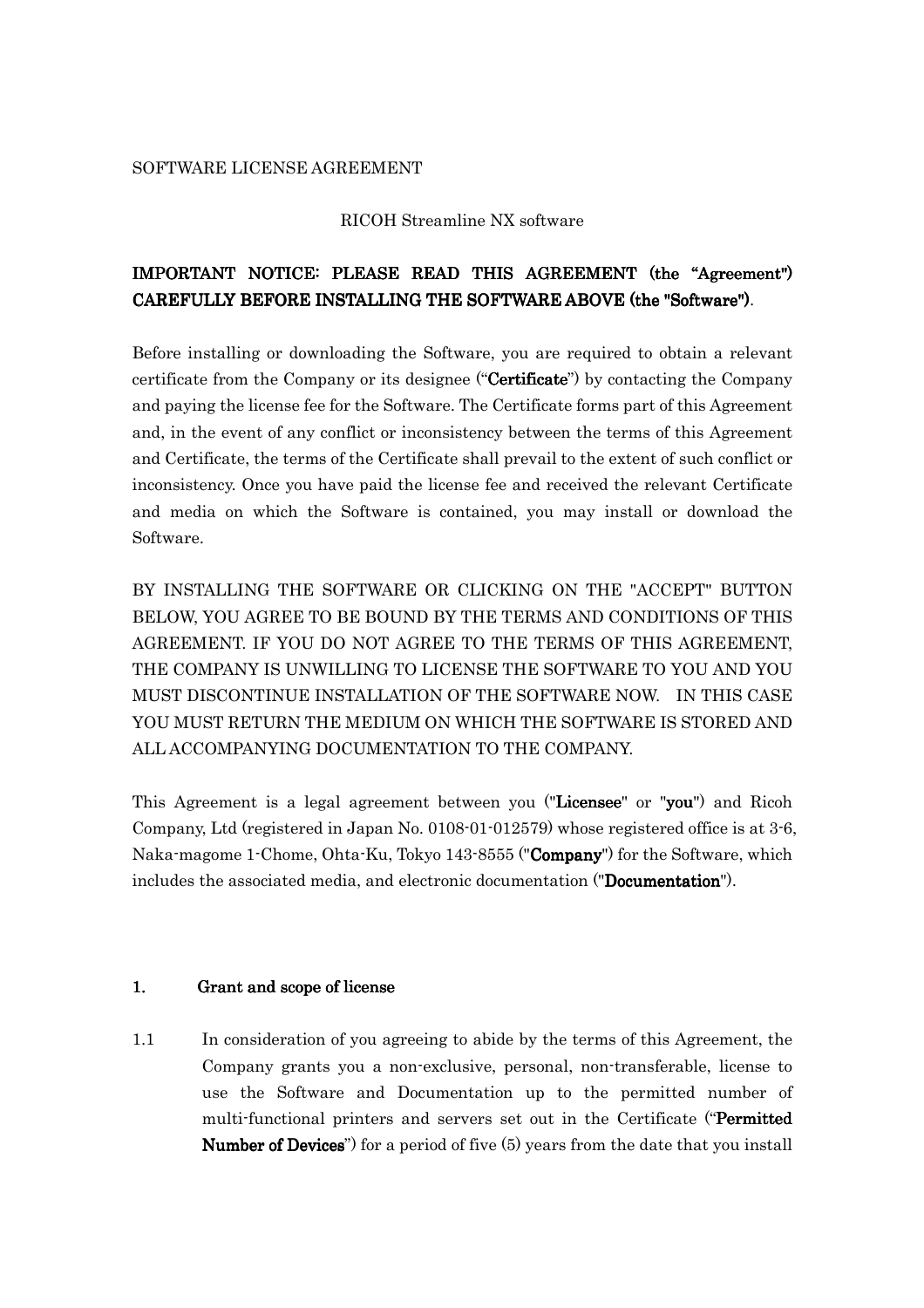#### SOFTWARE LICENSE AGREEMENT

#### RICOH Streamline NX software

# IMPORTANT NOTICE: PLEASE READ THIS AGREEMENT (the "Agreement") CAREFULLY BEFORE INSTALLING THE SOFTWARE ABOVE (the "Software").

Before installing or downloading the Software, you are required to obtain a relevant certificate from the Company or its designee ("**Certificate**") by contacting the Company and paying the license fee for the Software. The Certificate forms part of this Agreement and, in the event of any conflict or inconsistency between the terms of this Agreement and Certificate, the terms of the Certificate shall prevail to the extent of such conflict or inconsistency. Once you have paid the license fee and received the relevant Certificate and media on which the Software is contained, you may install or download the Software.

BY INSTALLING THE SOFTWARE OR CLICKING ON THE "ACCEPT" BUTTON BELOW, YOU AGREE TO BE BOUND BY THE TERMS AND CONDITIONS OF THIS AGREEMENT. IF YOU DO NOT AGREE TO THE TERMS OF THIS AGREEMENT, THE COMPANY IS UNWILLING TO LICENSE THE SOFTWARE TO YOU AND YOU MUST DISCONTINUE INSTALLATION OF THE SOFTWARE NOW. IN THIS CASE YOU MUST RETURN THE MEDIUM ON WHICH THE SOFTWARE IS STORED AND ALL ACCOMPANYING DOCUMENTATION TO THE COMPANY.

This Agreement is a legal agreement between you ("Licensee" or "you") and Ricoh Company, Ltd (registered in Japan No. 0108-01-012579) whose registered office is at 3-6, Naka-magome 1-Chome, Ohta-Ku, Tokyo 143-8555 ("Company") for the Software, which includes the associated media, and electronic documentation ("Documentation").

## 1. Grant and scope of license

1.1 In consideration of you agreeing to abide by the terms of this Agreement, the Company grants you a non-exclusive, personal, non-transferable, license to use the Software and Documentation up to the permitted number of multi-functional printers and servers set out in the Certificate ("Permitted **Number of Devices**") for a period of five  $(5)$  years from the date that you install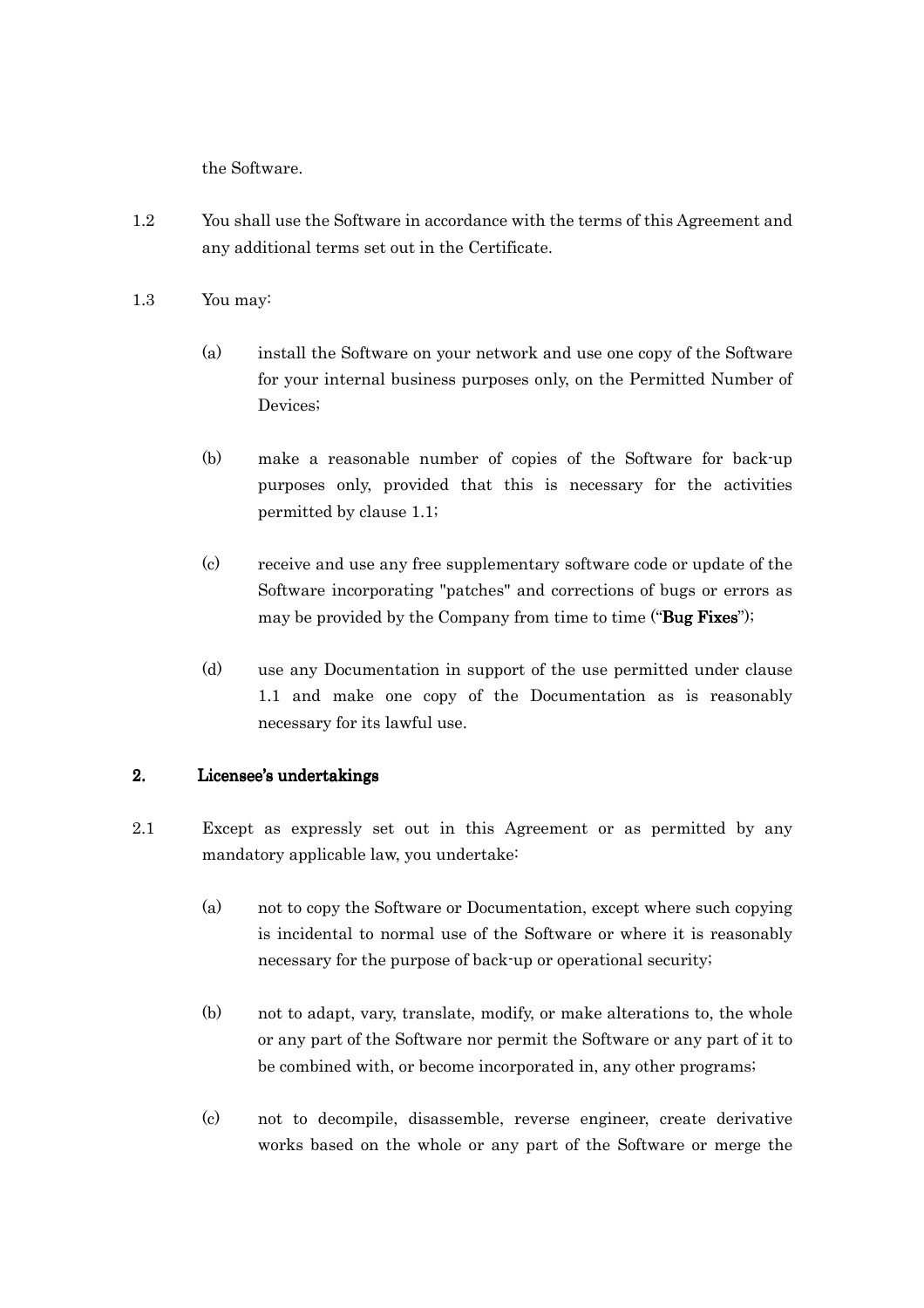the Software.

- 1.2 You shall use the Software in accordance with the terms of this Agreement and any additional terms set out in the Certificate.
- 1.3 You may:
	- (a) install the Software on your network and use one copy of the Software for your internal business purposes only, on the Permitted Number of Devices;
	- (b) make a reasonable number of copies of the Software for back-up purposes only, provided that this is necessary for the activities permitted by clause 1.1;
	- (c) receive and use any free supplementary software code or update of the Software incorporating "patches" and corrections of bugs or errors as may be provided by the Company from time to time ("Bug Fixes");
	- (d) use any Documentation in support of the use permitted under clause 1.1 and make one copy of the Documentation as is reasonably necessary for its lawful use.

# 2. Licensee's undertakings

- 2.1 Except as expressly set out in this Agreement or as permitted by any mandatory applicable law, you undertake:
	- (a) not to copy the Software or Documentation, except where such copying is incidental to normal use of the Software or where it is reasonably necessary for the purpose of back-up or operational security;
	- (b) not to adapt, vary, translate, modify, or make alterations to, the whole or any part of the Software nor permit the Software or any part of it to be combined with, or become incorporated in, any other programs;
	- (c) not to decompile, disassemble, reverse engineer, create derivative works based on the whole or any part of the Software or merge the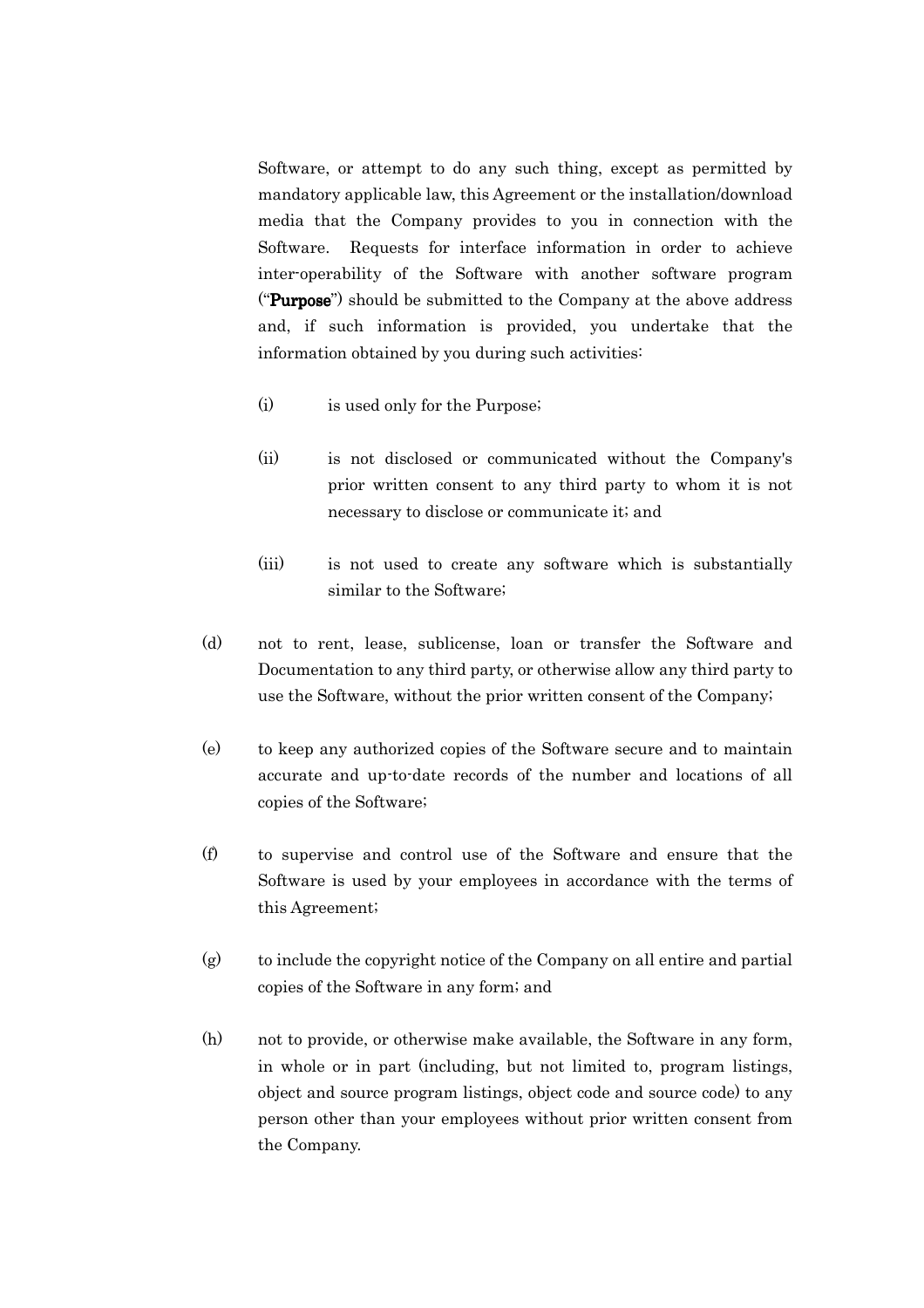Software, or attempt to do any such thing, except as permitted by mandatory applicable law, this Agreement or the installation/download media that the Company provides to you in connection with the Software. Requests for interface information in order to achieve inter-operability of the Software with another software program ("**Purpose**") should be submitted to the Company at the above address and, if such information is provided, you undertake that the information obtained by you during such activities:

- (i) is used only for the Purpose;
- (ii) is not disclosed or communicated without the Company's prior written consent to any third party to whom it is not necessary to disclose or communicate it; and
- (iii) is not used to create any software which is substantially similar to the Software;
- (d) not to rent, lease, sublicense, loan or transfer the Software and Documentation to any third party, or otherwise allow any third party to use the Software, without the prior written consent of the Company;
- (e) to keep any authorized copies of the Software secure and to maintain accurate and up-to-date records of the number and locations of all copies of the Software;
- (f) to supervise and control use of the Software and ensure that the Software is used by your employees in accordance with the terms of this Agreement;
- (g) to include the copyright notice of the Company on all entire and partial copies of the Software in any form; and
- (h) not to provide, or otherwise make available, the Software in any form, in whole or in part (including, but not limited to, program listings, object and source program listings, object code and source code) to any person other than your employees without prior written consent from the Company.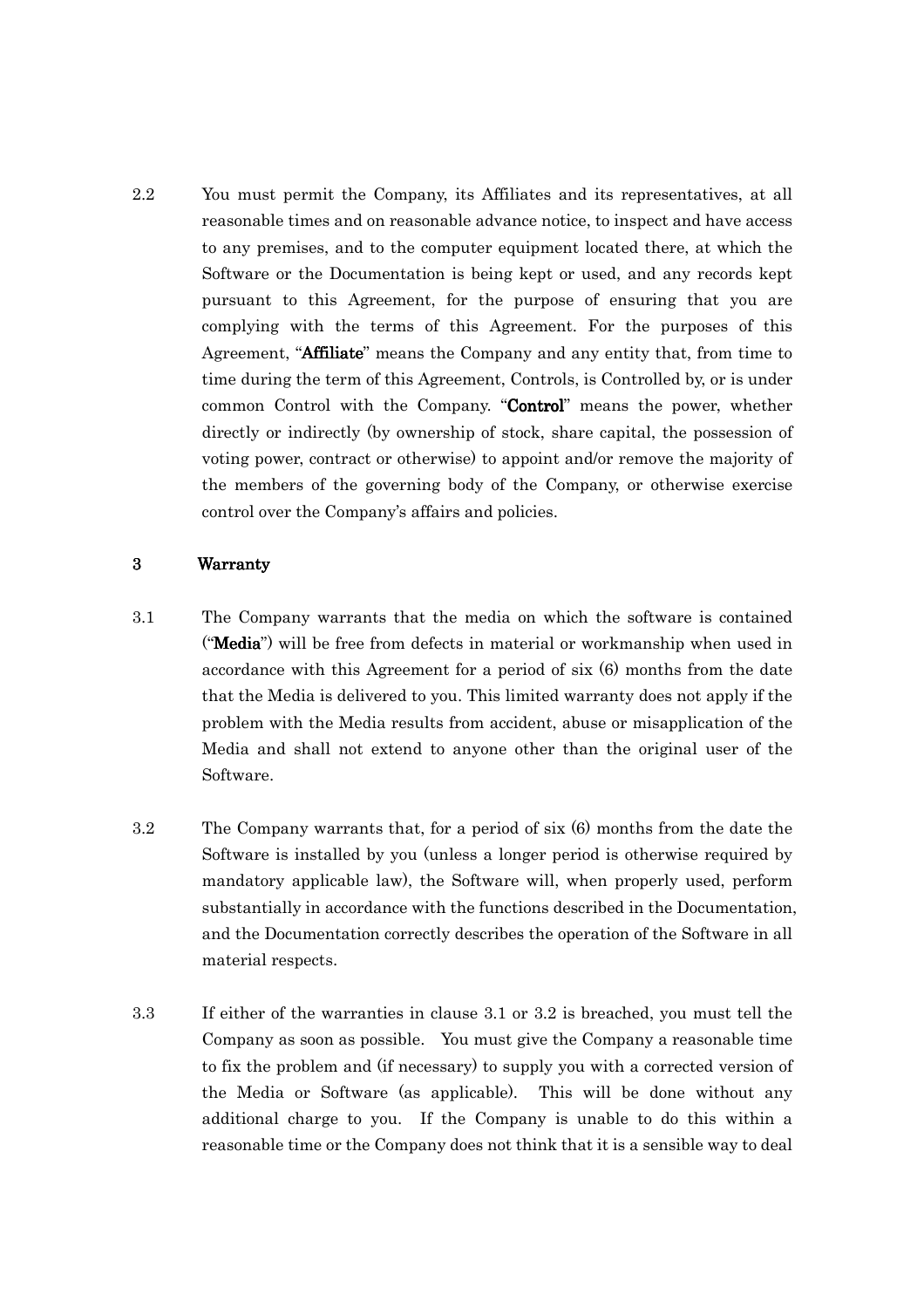2.2 You must permit the Company, its Affiliates and its representatives, at all reasonable times and on reasonable advance notice, to inspect and have access to any premises, and to the computer equipment located there, at which the Software or the Documentation is being kept or used, and any records kept pursuant to this Agreement, for the purpose of ensuring that you are complying with the terms of this Agreement. For the purposes of this Agreement, "**Affiliate**" means the Company and any entity that, from time to time during the term of this Agreement, Controls, is Controlled by, or is under common Control with the Company. "Control" means the power, whether directly or indirectly (by ownership of stock, share capital, the possession of voting power, contract or otherwise) to appoint and/or remove the majority of the members of the governing body of the Company, or otherwise exercise control over the Company's affairs and policies.

## 3 Warranty Warranty

- 3.1 The Company warrants that the media on which the software is contained ("Media") will be free from defects in material or workmanship when used in accordance with this Agreement for a period of six (6) months from the date that the Media is delivered to you. This limited warranty does not apply if the problem with the Media results from accident, abuse or misapplication of the Media and shall not extend to anyone other than the original user of the Software.
- 3.2 The Company warrants that, for a period of six (6) months from the date the Software is installed by you (unless a longer period is otherwise required by mandatory applicable law), the Software will, when properly used, perform substantially in accordance with the functions described in the Documentation, and the Documentation correctly describes the operation of the Software in all material respects.
- 3.3 If either of the warranties in clause 3.1 or 3.2 is breached, you must tell the Company as soon as possible. You must give the Company a reasonable time to fix the problem and (if necessary) to supply you with a corrected version of the Media or Software (as applicable). This will be done without any additional charge to you. If the Company is unable to do this within a reasonable time or the Company does not think that it is a sensible way to deal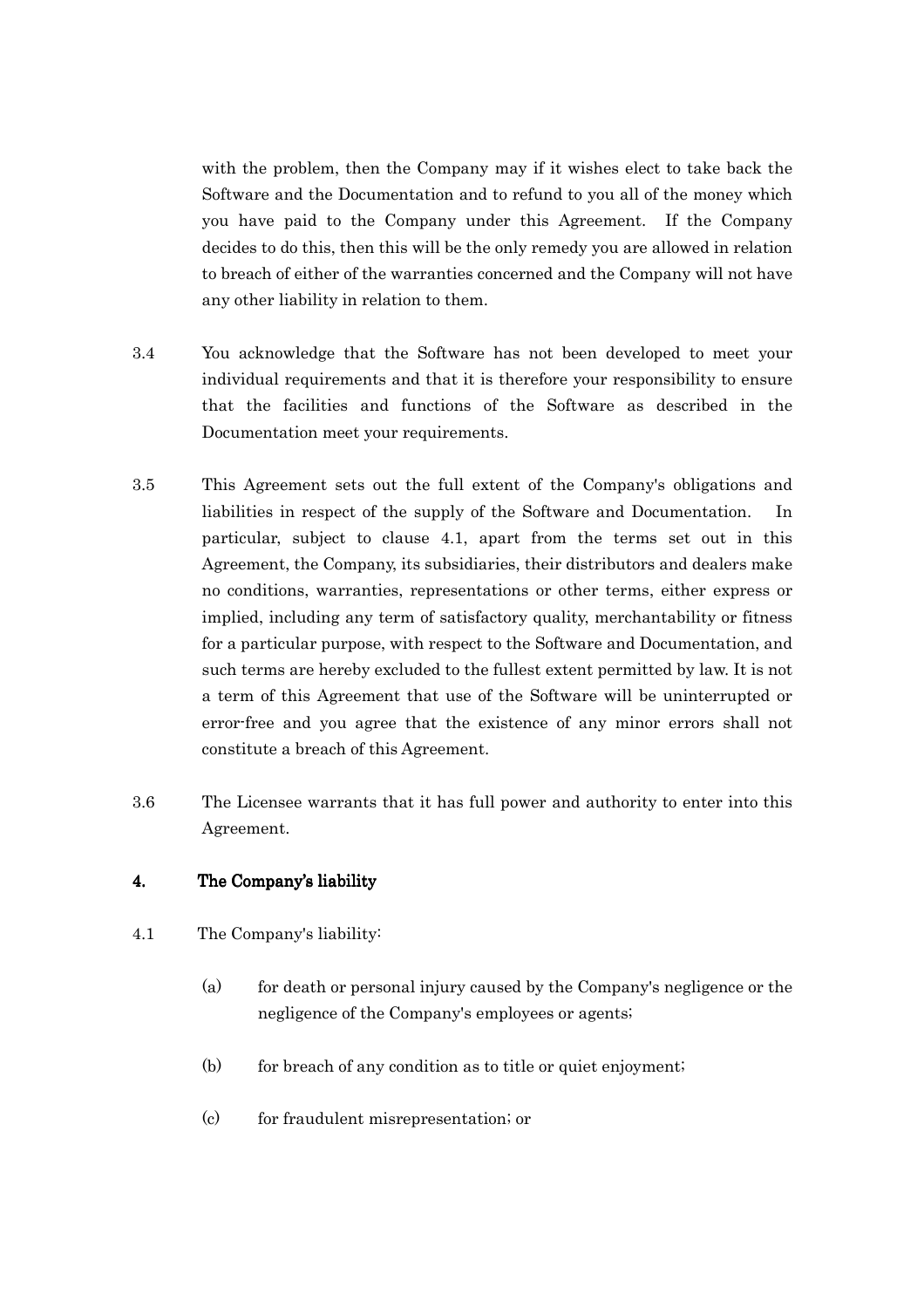with the problem, then the Company may if it wishes elect to take back the Software and the Documentation and to refund to you all of the money which you have paid to the Company under this Agreement. If the Company decides to do this, then this will be the only remedy you are allowed in relation to breach of either of the warranties concerned and the Company will not have any other liability in relation to them.

- 3.4 You acknowledge that the Software has not been developed to meet your individual requirements and that it is therefore your responsibility to ensure that the facilities and functions of the Software as described in the Documentation meet your requirements.
- 3.5 This Agreement sets out the full extent of the Company's obligations and liabilities in respect of the supply of the Software and Documentation. In particular, subject to clause 4.1, apart from the terms set out in this Agreement, the Company, its subsidiaries, their distributors and dealers make no conditions, warranties, representations or other terms, either express or implied, including any term of satisfactory quality, merchantability or fitness for a particular purpose, with respect to the Software and Documentation, and such terms are hereby excluded to the fullest extent permitted by law. It is not a term of this Agreement that use of the Software will be uninterrupted or error-free and you agree that the existence of any minor errors shall not constitute a breach of this Agreement.
- 3.6 The Licensee warrants that it has full power and authority to enter into this Agreement.

# 4. The Company's liability

- 4.1 The Company's liability:
	- (a) for death or personal injury caused by the Company's negligence or the negligence of the Company's employees or agents;
	- $(b)$  for breach of any condition as to title or quiet enjoyment;
	- (c) for fraudulent misrepresentation; or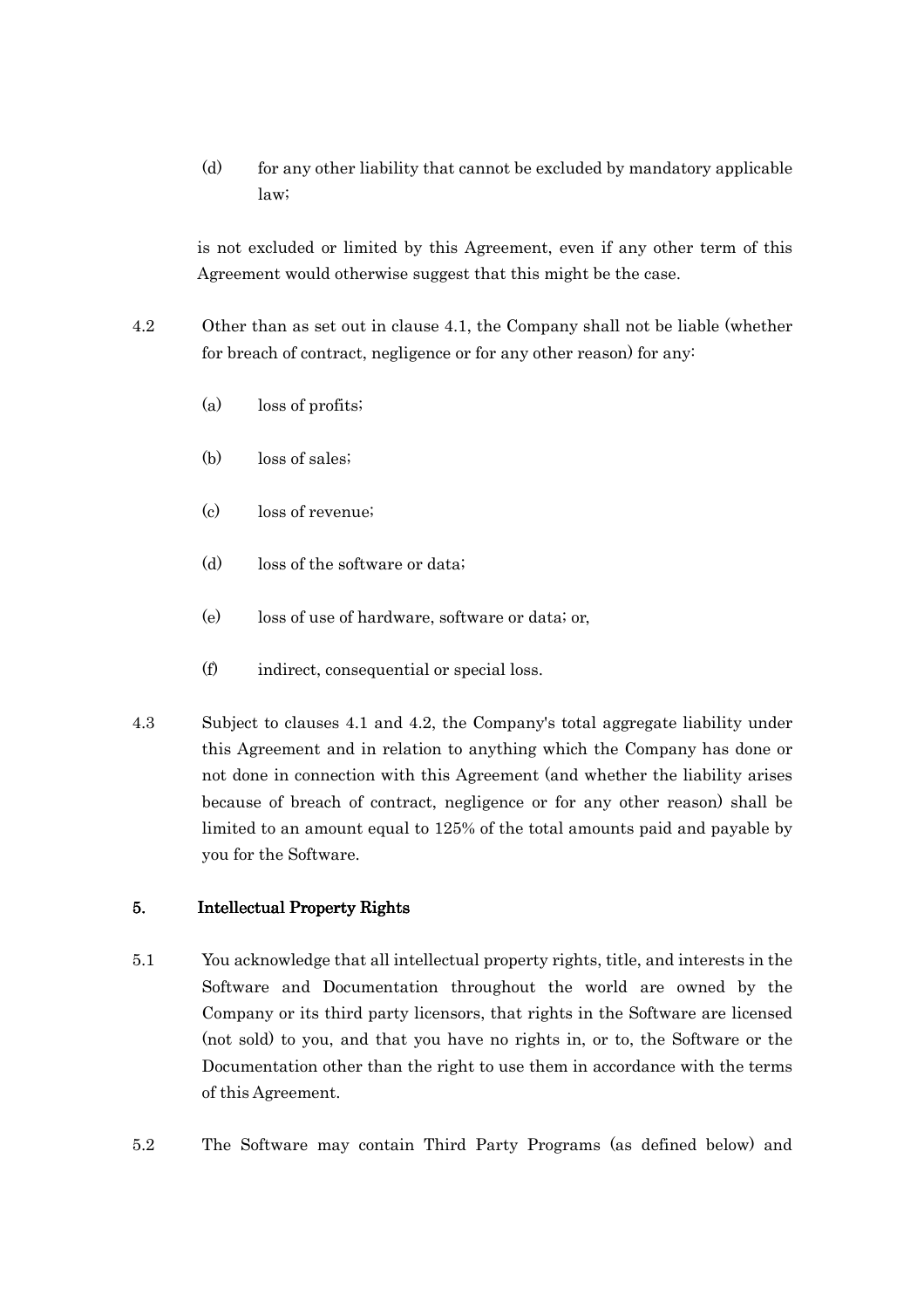(d) for any other liability that cannot be excluded by mandatory applicable law;

is not excluded or limited by this Agreement, even if any other term of this Agreement would otherwise suggest that this might be the case.

- 4.2 Other than as set out in clause 4.1, the Company shall not be liable (whether for breach of contract, negligence or for any other reason) for any:
	- (a) loss of profits;
	- (b) loss of sales;
	- (c) loss of revenue;
	- (d) loss of the software or data;
	- (e) loss of use of hardware, software or data; or,
	- (f) indirect, consequential or special loss.
- 4.3 Subject to clauses 4.1 and 4.2, the Company's total aggregate liability under this Agreement and in relation to anything which the Company has done or not done in connection with this Agreement (and whether the liability arises because of breach of contract, negligence or for any other reason) shall be limited to an amount equal to 125% of the total amounts paid and payable by you for the Software.

## 5. Intellectual Property Rights

- 5.1 You acknowledge that all intellectual property rights, title, and interests in the Software and Documentation throughout the world are owned by the Company or its third party licensors, that rights in the Software are licensed (not sold) to you, and that you have no rights in, or to, the Software or the Documentation other than the right to use them in accordance with the terms of this Agreement.
- 5.2 The Software may contain Third Party Programs (as defined below) and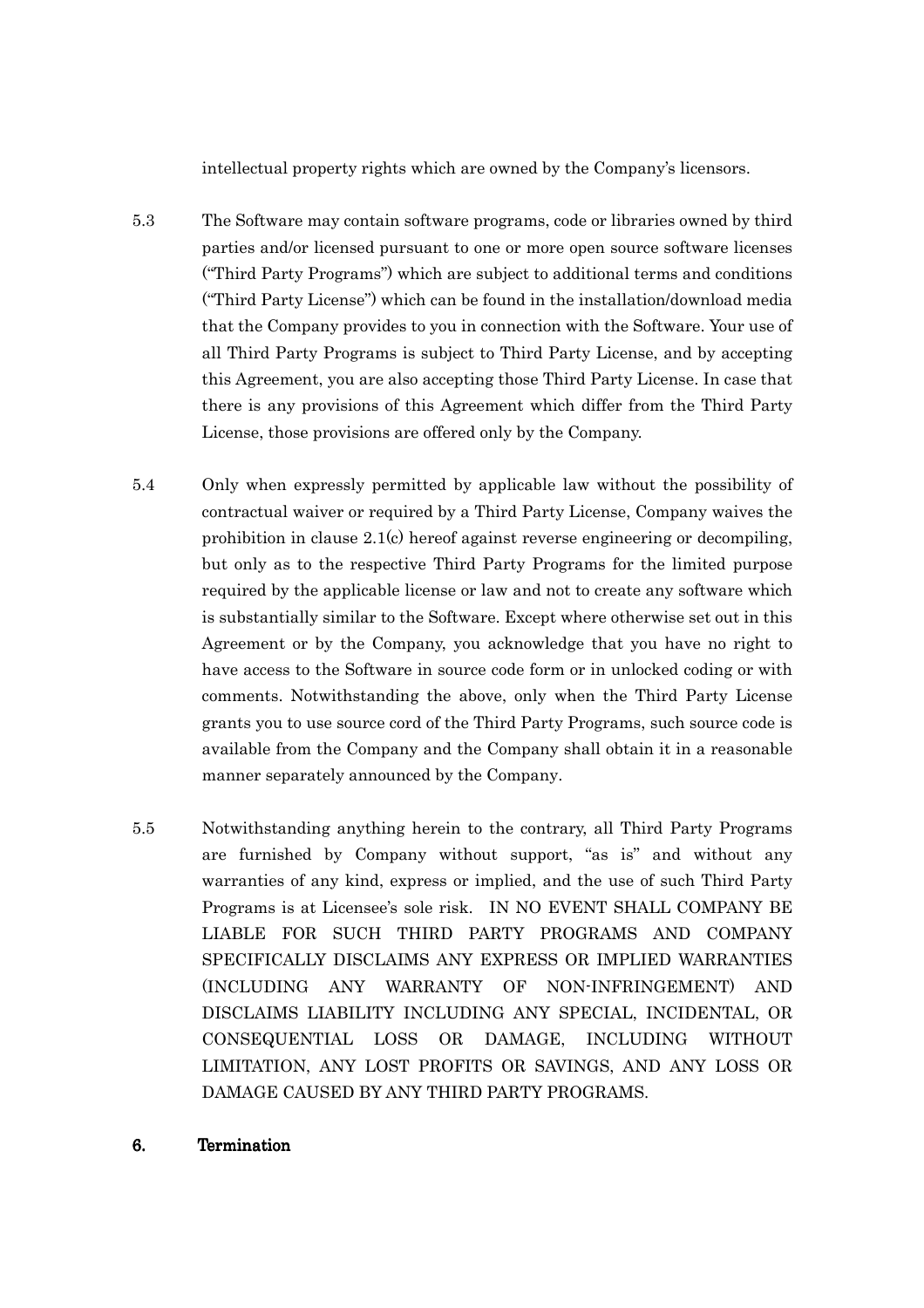intellectual property rights which are owned by the Company's licensors.

- 5.3 The Software may contain software programs, code or libraries owned by third parties and/or licensed pursuant to one or more open source software licenses ("Third Party Programs") which are subject to additional terms and conditions ("Third Party License") which can be found in the installation/download media that the Company provides to you in connection with the Software. Your use of all Third Party Programs is subject to Third Party License, and by accepting this Agreement, you are also accepting those Third Party License. In case that there is any provisions of this Agreement which differ from the Third Party License, those provisions are offered only by the Company.
- 5.4 Only when expressly permitted by applicable law without the possibility of contractual waiver or required by a Third Party License, Company waives the prohibition in clause 2.1(c) hereof against reverse engineering or decompiling, but only as to the respective Third Party Programs for the limited purpose required by the applicable license or law and not to create any software which is substantially similar to the Software. Except where otherwise set out in this Agreement or by the Company, you acknowledge that you have no right to have access to the Software in source code form or in unlocked coding or with comments. Notwithstanding the above, only when the Third Party License grants you to use source cord of the Third Party Programs, such source code is available from the Company and the Company shall obtain it in a reasonable manner separately announced by the Company.
- 5.5 Notwithstanding anything herein to the contrary, all Third Party Programs are furnished by Company without support, "as is" and without any warranties of any kind, express or implied, and the use of such Third Party Programs is at Licensee's sole risk. IN NO EVENT SHALL COMPANY BE LIABLE FOR SUCH THIRD PARTY PROGRAMS AND COMPANY SPECIFICALLY DISCLAIMS ANY EXPRESS OR IMPLIED WARRANTIES (INCLUDING ANY WARRANTY OF NON-INFRINGEMENT) AND DISCLAIMS LIABILITY INCLUDING ANY SPECIAL, INCIDENTAL, OR CONSEQUENTIAL LOSS OR DAMAGE, INCLUDING WITHOUT LIMITATION, ANY LOST PROFITS OR SAVINGS, AND ANY LOSS OR DAMAGE CAUSED BY ANY THIRD PARTY PROGRAMS.
- 6. Termination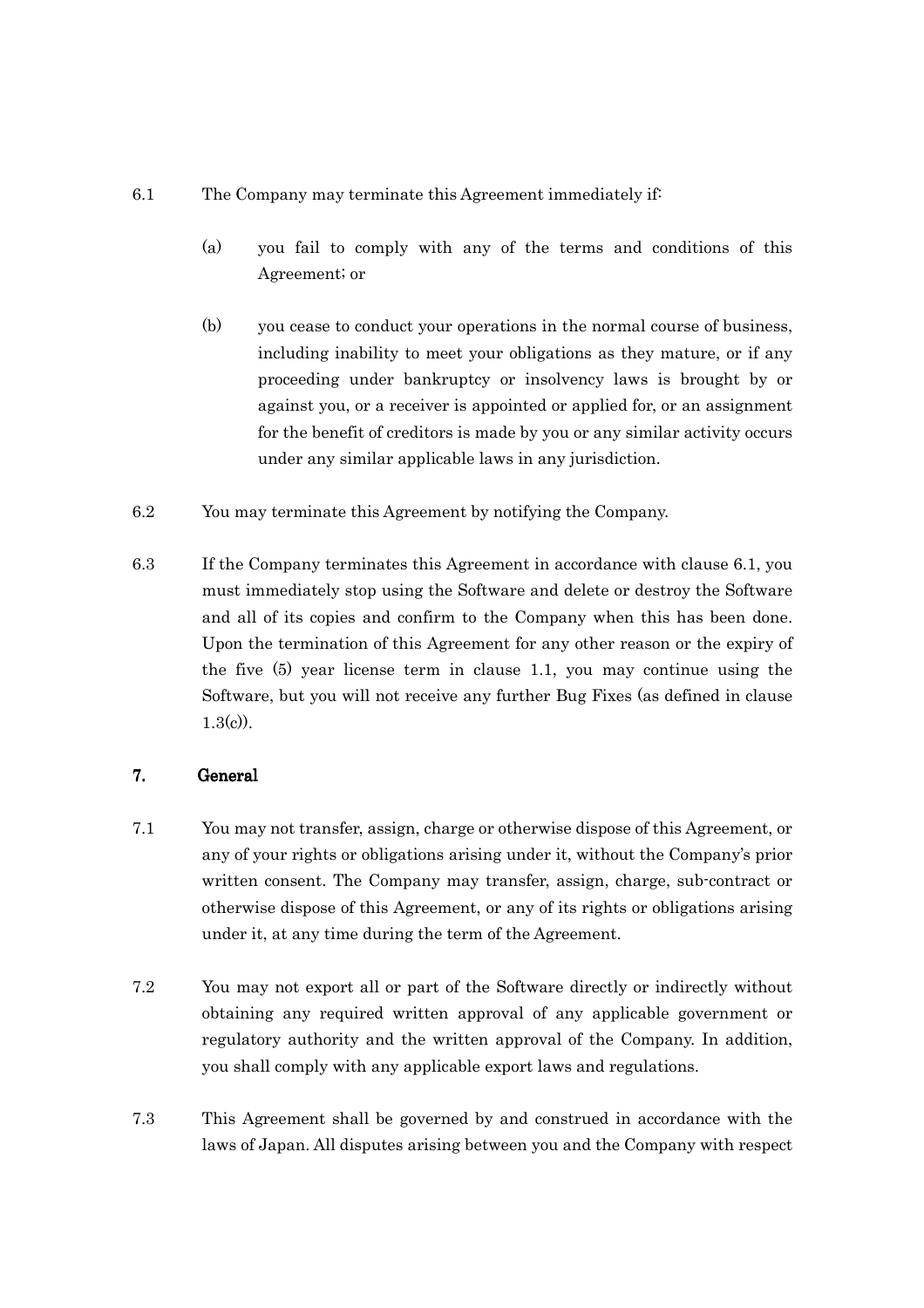## 6.1 The Company may terminate this Agreement immediately if:

- (a) you fail to comply with any of the terms and conditions of this Agreement; or
- (b) you cease to conduct your operations in the normal course of business, including inability to meet your obligations as they mature, or if any proceeding under bankruptcy or insolvency laws is brought by or against you, or a receiver is appointed or applied for, or an assignment for the benefit of creditors is made by you or any similar activity occurs under any similar applicable laws in any jurisdiction.
- 6.2 You may terminate this Agreement by notifying the Company.
- 6.3 If the Company terminates this Agreement in accordance with clause 6.1, you must immediately stop using the Software and delete or destroy the Software and all of its copies and confirm to the Company when this has been done. Upon the termination of this Agreement for any other reason or the expiry of the five (5) year license term in clause 1.1, you may continue using the Software, but you will not receive any further Bug Fixes (as defined in clause  $1.3(c)$ ).

# 7. General General

- 7.1 You may not transfer, assign, charge or otherwise dispose of this Agreement, or any of your rights or obligations arising under it, without the Company's prior written consent. The Company may transfer, assign, charge, sub-contract or otherwise dispose of this Agreement, or any of its rights or obligations arising under it, at any time during the term of the Agreement.
- 7.2 You may not export all or part of the Software directly or indirectly without obtaining any required written approval of any applicable government or regulatory authority and the written approval of the Company. In addition, you shall comply with any applicable export laws and regulations.
- 7.3 This Agreement shall be governed by and construed in accordance with the laws of Japan. All disputes arising between you and the Company with respect